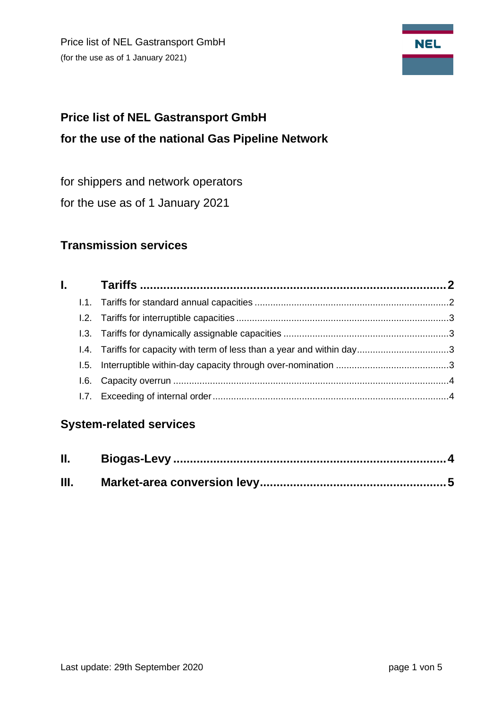Price list of NEL Gastransport GmbH (for the use as of 1 January 2021)



# **Price list of NEL Gastransport GmbH for the use of the national Gas Pipeline Network**

for shippers and network operators

for the use as of 1 January 2021

# **Transmission services**

# **System-related services**

| Ш. |  |
|----|--|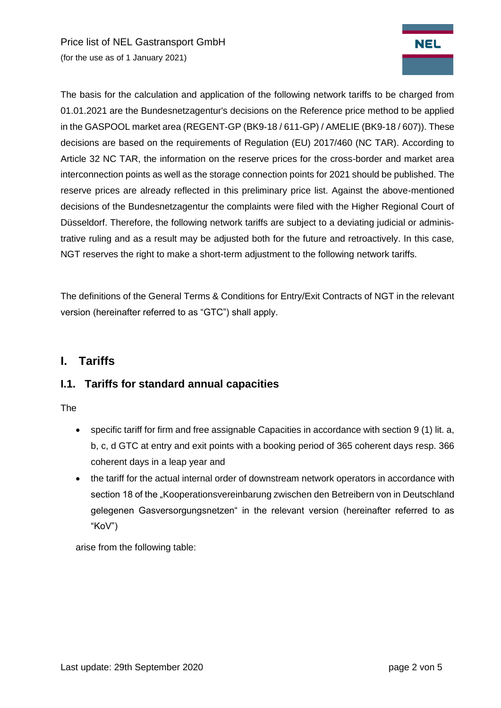Price list of NEL Gastransport GmbH (for the use as of 1 January 2021)



The basis for the calculation and application of the following network tariffs to be charged from 01.01.2021 are the Bundesnetzagentur's decisions on the Reference price method to be applied in the GASPOOL market area (REGENT-GP (BK9-18 / 611-GP) / AMELIE (BK9-18 / 607)). These decisions are based on the requirements of Regulation (EU) 2017/460 (NC TAR). According to Article 32 NC TAR, the information on the reserve prices for the cross-border and market area interconnection points as well as the storage connection points for 2021 should be published. The reserve prices are already reflected in this preliminary price list. Against the above-mentioned decisions of the Bundesnetzagentur the complaints were filed with the Higher Regional Court of Düsseldorf. Therefore, the following network tariffs are subject to a deviating judicial or administrative ruling and as a result may be adjusted both for the future and retroactively. In this case, NGT reserves the right to make a short-term adjustment to the following network tariffs.

<span id="page-1-0"></span>The definitions of the General Terms & Conditions for Entry/Exit Contracts of NGT in the relevant version (hereinafter referred to as "GTC") shall apply.

## **I. Tariffs**

#### <span id="page-1-1"></span>**I.1. Tariffs for standard annual capacities**

The

- specific tariff for firm and free assignable Capacities in accordance with section 9 (1) lit. a, b, c, d GTC at entry and exit points with a booking period of 365 coherent days resp. 366 coherent days in a leap year and
- the tariff for the actual internal order of downstream network operators in accordance with section 18 of the "Kooperationsvereinbarung zwischen den Betreibern von in Deutschland gelegenen Gasversorgungsnetzen" in the relevant version (hereinafter referred to as "KoV")

arise from the following table: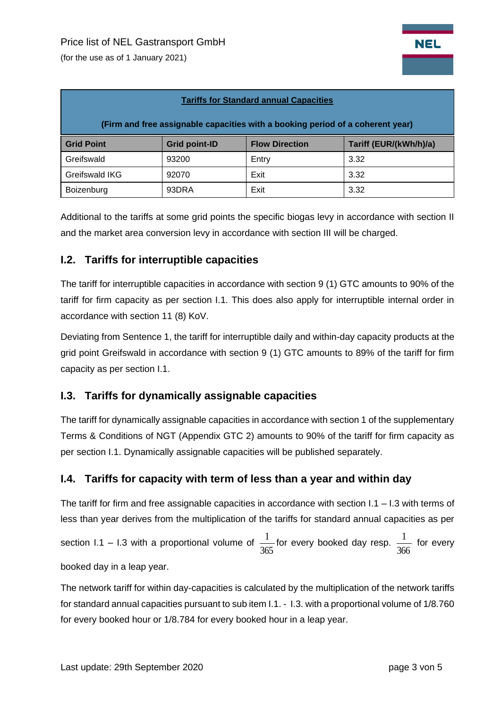(for the use as of 1 January 2021)

| <b>Tariffs for Standard annual Capacities</b>                                  |                      |                       |                        |  |  |  |  |
|--------------------------------------------------------------------------------|----------------------|-----------------------|------------------------|--|--|--|--|
| (Firm and free assignable capacities with a booking period of a coherent year) |                      |                       |                        |  |  |  |  |
| <b>Grid Point</b>                                                              | <b>Grid point-ID</b> | <b>Flow Direction</b> | Tariff (EUR/(kWh/h)/a) |  |  |  |  |
| Greifswald                                                                     | 93200                | Entry                 | 3.32                   |  |  |  |  |
| Greifswald IKG                                                                 | 92070                | Exit                  | 3.32                   |  |  |  |  |
| Boizenburg                                                                     | 93DRA                | Exit                  | 3.32                   |  |  |  |  |

Additional to the tariffs at some grid points the specific biogas levy in accordance with section II and the market area conversion levy in accordance with section III will be charged.

#### <span id="page-2-0"></span>**I.2. Tariffs for interruptible capacities**

The tariff for interruptible capacities in accordance with section 9 (1) GTC amounts to 90% of the tariff for firm capacity as per section I.1. This does also apply for interruptible internal order in accordance with section 11 (8) KoV.

Deviating from Sentence 1, the tariff for interruptible daily and within-day capacity products at the grid point Greifswald in accordance with section 9 (1) GTC amounts to 89% of the tariff for firm capacity as per section I.1.

## <span id="page-2-1"></span>**I.3. Tariffs for dynamically assignable capacities**

The tariff for dynamically assignable capacities in accordance with section 1 of the supplementary Terms & Conditions of NGT (Appendix GTC 2) amounts to 90% of the tariff for firm capacity as per section I.1. Dynamically assignable capacities will be published separately.

#### <span id="page-2-2"></span>**I.4. Tariffs for capacity with term of less than a year and within day**

The tariff for firm and free assignable capacities in accordance with section  $1.1 - 1.3$  with terms of less than year derives from the multiplication of the tariffs for standard annual capacities as per section I.1 – I.3 with a proportional volume of 365  $\frac{1}{\sqrt{2}}$  for every booked day resp. 366  $\frac{1}{\sqrt{2}}$  for every booked day in a leap year.

The network tariff for within day-capacities is calculated by the multiplication of the network tariffs for standard annual capacities pursuant to sub item I.1. - I.3. with a proportional volume of 1/8.760 for every booked hour or 1/8.784 for every booked hour in a leap year.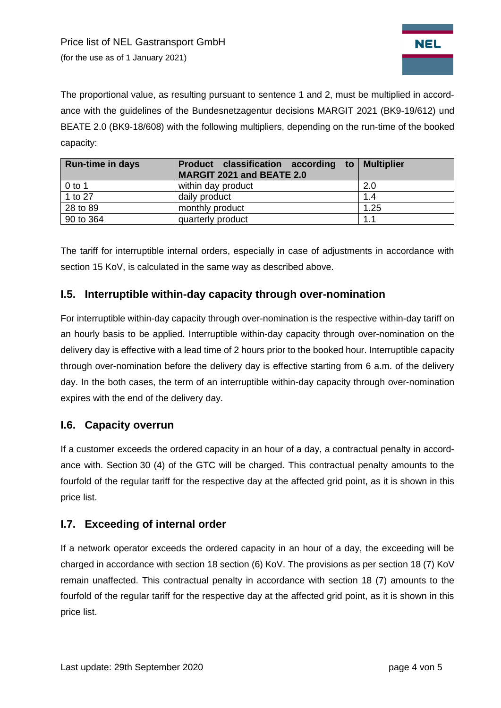

The proportional value, as resulting pursuant to sentence 1 and 2, must be multiplied in accordance with the guidelines of the Bundesnetzagentur decisions MARGIT 2021 (BK9-19/612) und BEATE 2.0 (BK9-18/608) with the following multipliers, depending on the run-time of the booked capacity:

| <b>Run-time in days</b> | Product classification according to Multiplier<br><b>MARGIT 2021 and BEATE 2.0</b> |      |
|-------------------------|------------------------------------------------------------------------------------|------|
| $0$ to 1                | within day product                                                                 | 2.0  |
| 1 to 27                 | daily product                                                                      | 1.4  |
| 28 to 89                | monthly product                                                                    | 1.25 |
| 90 to 364               | quarterly product                                                                  | 1.1  |

The tariff for interruptible internal orders, especially in case of adjustments in accordance with section 15 KoV, is calculated in the same way as described above.

## **I.5. Interruptible within-day capacity through over-nomination**

For interruptible within-day capacity through over-nomination is the respective within-day tariff on an hourly basis to be applied. Interruptible within-day capacity through over-nomination on the delivery day is effective with a lead time of 2 hours prior to the booked hour. Interruptible capacity through over-nomination before the delivery day is effective starting from 6 a.m. of the delivery day. In the both cases, the term of an interruptible within-day capacity through over-nomination expires with the end of the delivery day.

#### <span id="page-3-0"></span>**I.6. Capacity overrun**

If a customer exceeds the ordered capacity in an hour of a day, a contractual penalty in accordance with. Section 30 (4) of the GTC will be charged. This contractual penalty amounts to the fourfold of the regular tariff for the respective day at the affected grid point, as it is shown in this price list.

#### <span id="page-3-1"></span>**I.7. Exceeding of internal order**

If a network operator exceeds the ordered capacity in an hour of a day, the exceeding will be charged in accordance with section 18 section (6) KoV. The provisions as per section 18 (7) KoV remain unaffected. This contractual penalty in accordance with section 18 (7) amounts to the fourfold of the regular tariff for the respective day at the affected grid point, as it is shown in this price list.